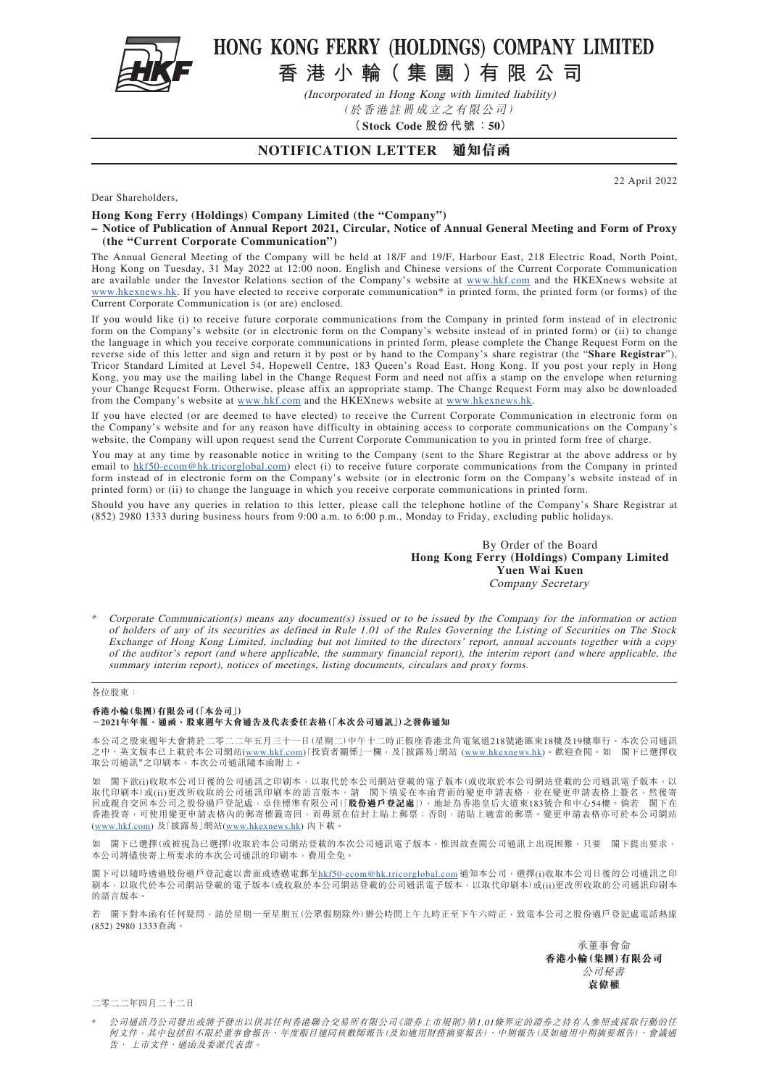

## HONG KONG FERRY (HOLDINGS) COMPANY LIMITED

**香 港 小 輪( 集 團 )有 限 公 司**

(Incorporated in Hong Kong with limited liability) (於香港註冊成立之有限公司)

**(Stock Code 股份代號:50)**

## **NOTIFICATION LETTER 通知信函**

22 April 2022

Dear Shareholders,

**Hong Kong Ferry (Holdings) Company Limited (the "Company")**

**– Notice of Publication of Annual Report 2021, Circular, Notice of Annual General Meeting and Form of Proxy (the "Current Corporate Communication")**

The Annual General Meeting of the Company will be held at 18/F and 19/F, Harbour East, 218 Electric Road, North Point, Hong Kong on Tuesday, 31 May 2022 at 12:00 noon. English and Chinese versions of the Current Corporate Communication are available under the Investor Relations section of the Company's website at [www.hkf.com](http://www.hkf.com/en/) and the HKEXnews website at www.hkexnews.hk. If you have elected to receive corporate communication\* in printed form, the printed form (or forms) of the Current Corporate Communication is (or are) enclosed.

If you would like (i) to receive future corporate communications from the Company in printed form instead of in electronic form on the Company's website (or in electronic form on the Company's website instead of in printed form) or (ii) to change the language in which you receive corporate communications in printed form, please complete the Change Request Form on the reverse side of this letter and sign and return it by post or by hand to the Company's share registrar (the "**Share Registrar**"), Tricor Standard Limited at Level 54, Hopewell Centre, 183 Queen's Road East, Hong Kong. If you post your reply in Hong Kong, you may use the mailing label in the Change Request Form and need not affix a stamp on the envelope when returning your Change Request Form. Otherwise, please affix an appropriate stamp. The Change Request Form may also be downloaded from the Company's website at [www.hkf.com](http://www.hkf.com/en/) and the HKEXnews website at www.hkexnews.hk.

If you have elected (or are deemed to have elected) to receive the Current Corporate Communication in electronic form on the Company's website and for any reason have difficulty in obtaining access to corporate communications on the Company's website, the Company will upon request send the Current Corporate Communication to you in printed form free of charge.

You may at any time by reasonable notice in writing to the Company (sent to the Share Registrar at the above address or by email to hkf50-ecom@hk.tricorglobal.com) elect (i) to receive future corporate communications from the Company in printed form instead of in electronic form on the Company's website (or in electronic form on the Company's website instead of in printed form) or (ii) to change the language in which you receive corporate communications in printed form.

Should you have any queries in relation to this letter, please call the telephone hotline of the Company's Share Registrar at (852) 2980 1333 during business hours from 9:00 a.m. to 6:00 p.m., Monday to Friday, excluding public holidays.

> By Order of the Board **Hong Kong Ferry (Holdings) Company Limited Yuen Wai Kuen** Company Secretary

Corporate Communication(s) means any document(s) issued or to be issued by the Company for the information or action of holders of any of its securities as defined in Rule 1.01 of the Rules Governing the Listing of Securities on The Stock Exchange of Hong Kong Limited, including but not limited to the directors' report, annual accounts together with a copy of the auditor's report (and where applicable, the summary financial report), the interim report (and where applicable, the summary interim report), notices of meetings, listing documents, circulars and proxy forms.

## 各位股東:

**香港小輪(集團)有限公司(「本公司」) -2021年年報、通函、股東週年大會通告及代表委任表格(「本次公司通訊」)之發佈通知**

本公司之股東週年大會將於二零二二年五月三十一日(星期二)中午十二時正假座香港北角電氣道218號港匯東18樓及19樓舉行。本次公司通訊 之中、英文版本已上載於本公司網站(www.hkf.com)「投資者關係」一欄,及「披露易」網站 ([www.hkexnews.hk\)](http://www.hkexnews.hk/index_c.htm)。歡迎查閱。如 閣下已選擇收 取公司通訊\*之印刷本,本次公司通訊隨本函附上。

閣下欲(i)收取本公司日後的公司通訊之印刷本,以取代於本公司網站登載的電子版本(或收取於本公司網站登載的公司通訊電子版本,以 取代印刷本)或(ii)更改所收取的公司通訊印刷本的語言版本,請 閣下填妥在本函背面的變更申請表格,並在變更申請表格上簽名,然後寄 回或親自交回本公司之股份過戶登記處,卓佳標準有限公司(「**股份過戶登記處**」),地址為香港皇后大道東183號合和中心54樓。倘若 閣下在 香港投寄,可使用變更申請表格內的郵寄標籤寄回,而毋須在信封上貼上郵票;否則,請貼上適當的郵票。變更申請表格亦可於本公司網站 (www.hkf.com) 及「披露易」網站([www.hkexnews.hk\)](http://www.hkexnews.hk/index_c.htm) 內下載。

如 閣下已選擇(或被視為已選擇)收取於本公司網站登載的本次公司通訊電子版本,惟因故查閲公司通訊上出現困難,只要 閣下提出要求, 本公司將儘快寄上所要求的本次公司通訊的印刷本,費用全免。

閣下可以隨時透過股份過戶登記處以書面或透過電郵至<u>hkf50-ecom@hk.tricorglobal.com</u> 通知本公司,選擇(i)收取本公司日後的公司通訊之印 刷本,以取代於本公司網站登載的電子版本(或收取於本公司網站登載的公司通訊電子版本,以取代印刷本)或(ii)更改所收取的公司通訊印刷本 的語言版本。

若 閣下對本函有任何疑問,請於星期一至星期五(公眾假期除外)辦公時間上午九時正至下午六時正,致電本公司之股份過戶登記處電話熱線 (852) 2980 1333查詢。

> 承董事會命 **香港小輪(集團)有限公司** 公司秘書 **袁偉權**

二零二二年四月二十二日

公司通訊乃公司發出或將予發出以供其任何香港聯合交易所有限公司《證券上市規則》第1.01條界定的證券之持有人參照或採取行動的任 何文件,其中包括但不限於董事會報告、年度賬目連同核數師報告(及如適用財務摘要報告)、中期報告(及如適用中期摘要報告)、會議通 告、 上市文件、通函及委派代表書。